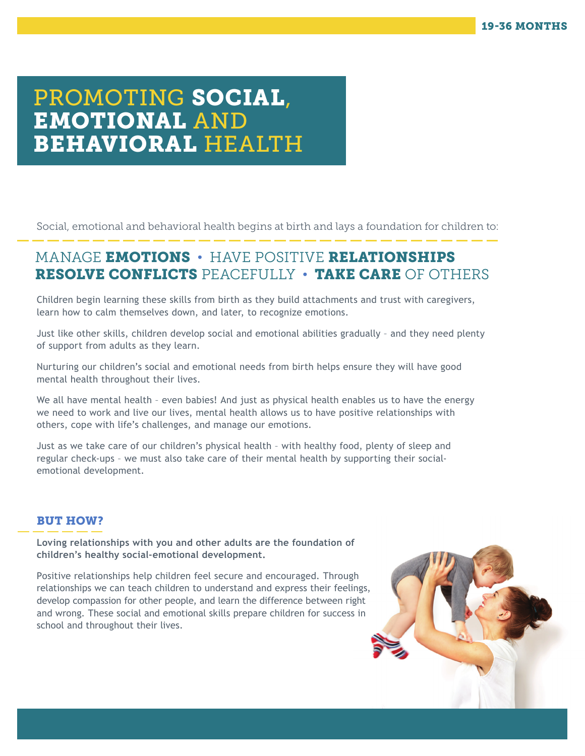# PROMOTING SOCIAL, EMOTIONAL AND BEHAVIORAL HEALTH

Social, emotional and behavioral health begins at birth and lays a foundation for children to:

## MANAGE EMOTIONS • HAVE POSITIVE RELATIONSHIPS RESOLVE CONFLICTS PEACEFULLY • TAKE CARE OF OTHERS

Children begin learning these skills from birth as they build attachments and trust with caregivers, learn how to calm themselves down, and later, to recognize emotions.

Just like other skills, children develop social and emotional abilities gradually – and they need plenty of support from adults as they learn.

Nurturing our children's social and emotional needs from birth helps ensure they will have good mental health throughout their lives.

We all have mental health - even babies! And just as physical health enables us to have the energy we need to work and live our lives, mental health allows us to have positive relationships with others, cope with life's challenges, and manage our emotions.

Just as we take care of our children's physical health – with healthy food, plenty of sleep and regular check-ups – we must also take care of their mental health by supporting their socialemotional development.

### BUT HOW?

**Loving relationships with you and other adults are the foundation of children's healthy social-emotional development.** 

Positive relationships help children feel secure and encouraged. Through relationships we can teach children to understand and express their feelings, develop compassion for other people, and learn the difference between right and wrong. These social and emotional skills prepare children for success in school and throughout their lives.